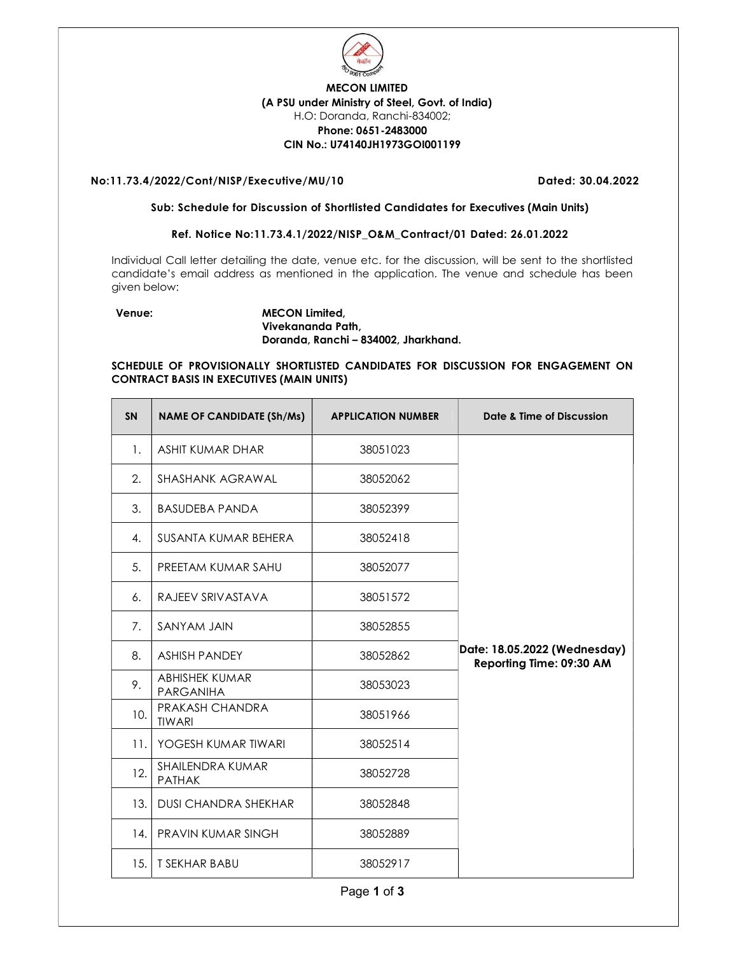

# MECON LIMITED (A PSU under Ministry of Steel, Govt. of India) H.O: Doranda, Ranchi-834002; Phone: 0651-2483000 CIN No.: U74140JH1973GOI001199

## No:11.73.4/2022/Cont/NISP/Executive/MU/10 Dated: 30.04.2022

#### Sub: Schedule for Discussion of Shortlisted Candidates for Executives (Main Units)

## Ref. Notice No:11.73.4.1/2022/NISP\_O&M\_Contract/01 Dated: 26.01.2022

Individual Call letter detailing the date, venue etc. for the discussion, will be sent to the shortlisted candidate's email address as mentioned in the application. The venue and schedule has been given below:

### Venue: MECON Limited, Vivekananda Path, Doranda, Ranchi – 834002, Jharkhand.

## SCHEDULE OF PROVISIONALLY SHORTLISTED CANDIDATES FOR DISCUSSION FOR ENGAGEMENT ON CONTRACT BASIS IN EXECUTIVES (MAIN UNITS)

| <b>SN</b> | <b>NAME OF CANDIDATE (Sh/Ms)</b>          | <b>APPLICATION NUMBER</b> | Date & Time of Discussion                                |
|-----------|-------------------------------------------|---------------------------|----------------------------------------------------------|
| 1.        | <b>ASHIT KUMAR DHAR</b>                   | 38051023                  |                                                          |
| 2.        | SHASHANK AGRAWAL                          | 38052062                  |                                                          |
| 3.        | <b>BASUDEBA PANDA</b>                     | 38052399                  |                                                          |
| 4.        | SUSANTA KUMAR BEHERA                      | 38052418                  |                                                          |
| 5.        | PREETAM KUMAR SAHU                        | 38052077                  |                                                          |
| 6.        | RAJEEV SRIVASTAVA                         | 38051572                  |                                                          |
| 7.        | SANYAM JAIN                               | 38052855                  |                                                          |
| 8.        | <b>ASHISH PANDEY</b>                      | 38052862                  | Date: 18.05.2022 (Wednesday)<br>Reporting Time: 09:30 AM |
| 9.        | <b>ABHISHEK KUMAR</b><br><b>PARGANIHA</b> | 38053023                  |                                                          |
| 10.       | PRAKASH CHANDRA<br><b>TIWARI</b>          | 38051966                  |                                                          |
| 11.       | YOGESH KUMAR TIWARI                       | 38052514                  |                                                          |
| 12.       | SHAILENDRA KUMAR<br><b>PATHAK</b>         | 38052728                  |                                                          |
| 13.       | <b>DUSI CHANDRA SHEKHAR</b>               | 38052848                  |                                                          |
| 14.       | PRAVIN KUMAR SINGH                        | 38052889                  |                                                          |
| 15.       | <b>T SEKHAR BABU</b>                      | 38052917                  |                                                          |

Page 1 of 3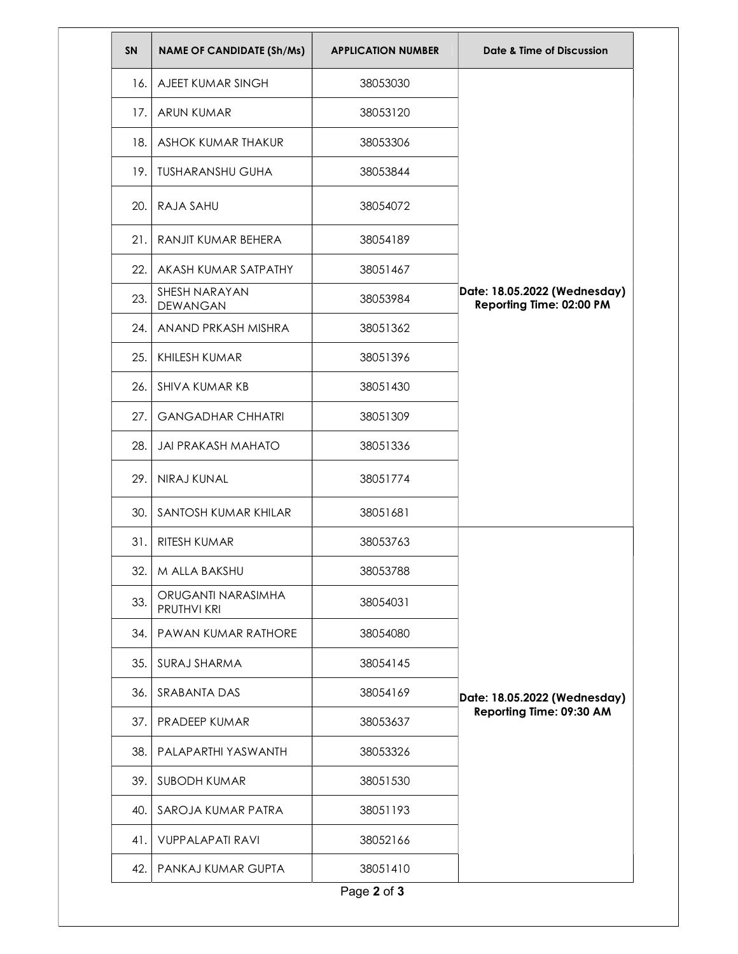| SN   | <b>NAME OF CANDIDATE (Sh/Ms)</b>  | <b>APPLICATION NUMBER</b> | Date & Time of Discussion                                |
|------|-----------------------------------|---------------------------|----------------------------------------------------------|
| 16.  | AJEET KUMAR SINGH                 | 38053030                  |                                                          |
| 17.  | <b>ARUN KUMAR</b>                 | 38053120                  |                                                          |
| 18.  | ASHOK KUMAR THAKUR                | 38053306                  |                                                          |
| 19.  | <b>TUSHARANSHU GUHA</b>           | 38053844                  |                                                          |
| 20.  | RAJA SAHU                         | 38054072                  |                                                          |
| 21.  | RANJIT KUMAR BEHERA               | 38054189                  |                                                          |
| 22.  | AKASH KUMAR SATPATHY              | 38051467                  |                                                          |
| 23.  | SHESH NARAYAN<br>DEWANGAN         | 38053984                  | Date: 18.05.2022 (Wednesday)<br>Reporting Time: 02:00 PM |
| 24.1 | ANAND PRKASH MISHRA               | 38051362                  |                                                          |
| 25.  | KHILESH KUMAR                     | 38051396                  |                                                          |
| 26.  | SHIVA KUMAR KB                    | 38051430                  |                                                          |
| 27.  | <b>GANGADHAR CHHATRI</b>          | 38051309                  |                                                          |
| 28.  | <b>JAI PRAKASH MAHATO</b>         | 38051336                  |                                                          |
| 29.  | NIRAJ KUNAL                       | 38051774                  |                                                          |
| 30.  | SANTOSH KUMAR KHILAR              | 38051681                  |                                                          |
| 31.  | RITESH KUMAR                      | 38053763                  |                                                          |
| 32.  | M ALLA BAKSHU                     | 38053788                  |                                                          |
| 33.  | ORUGANTI NARASIMHA<br>PRUTHVI KRI | 38054031                  |                                                          |
| 34.  | PAWAN KUMAR RATHORE               | 38054080                  |                                                          |
| 35.  | SURAJ SHARMA                      | 38054145                  |                                                          |
| 36.  | SRABANTA DAS                      | 38054169                  | Date: 18.05.2022 (Wednesday)                             |
| 37.  | <b>PRADEEP KUMAR</b>              | 38053637                  | Reporting Time: 09:30 AM                                 |
| 38.  | PALAPARTHI YASWANTH               | 38053326                  |                                                          |
| 39.  | <b>SUBODH KUMAR</b>               | 38051530                  |                                                          |
| 40.  | SAROJA KUMAR PATRA                | 38051193                  |                                                          |
| 41.  | <b>VUPPALAPATI RAVI</b>           | 38052166                  |                                                          |
| 42.  | PANKAJ KUMAR GUPTA                | 38051410                  |                                                          |